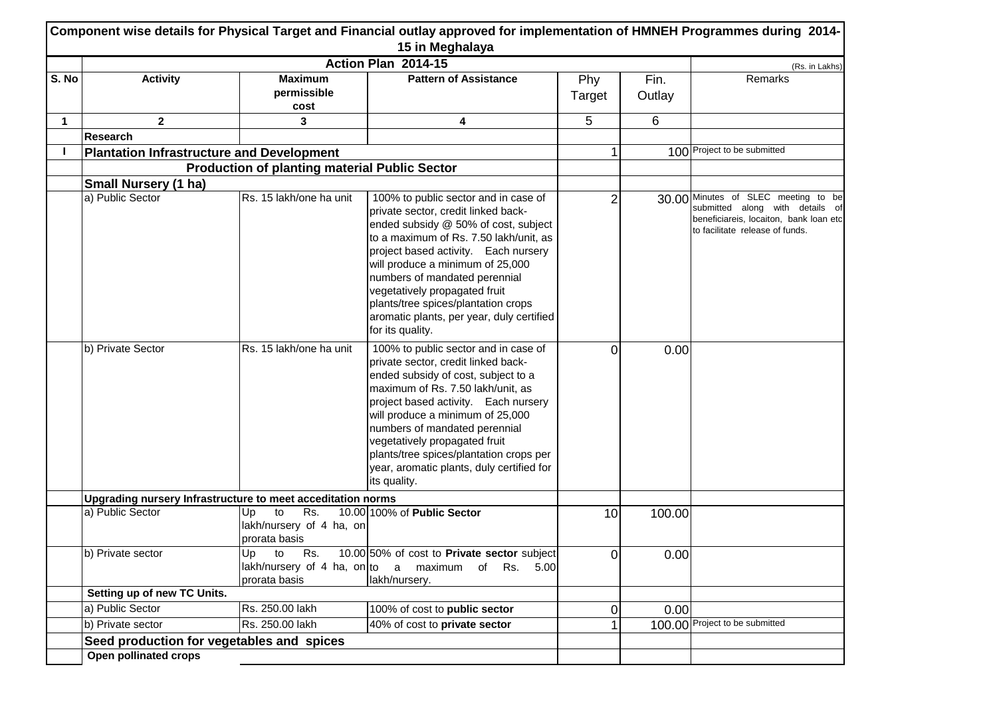|             |                                                             |                                                              | Component wise details for Physical Target and Financial outlay approved for implementation of HMNEH Programmes during 2014-<br>15 in Meghalaya                                                                                                                                                                                                                                                                     |                |                |                                                                                                                                                     |
|-------------|-------------------------------------------------------------|--------------------------------------------------------------|---------------------------------------------------------------------------------------------------------------------------------------------------------------------------------------------------------------------------------------------------------------------------------------------------------------------------------------------------------------------------------------------------------------------|----------------|----------------|-----------------------------------------------------------------------------------------------------------------------------------------------------|
|             |                                                             |                                                              | Action Plan 2014-15                                                                                                                                                                                                                                                                                                                                                                                                 |                |                | (Rs. in Lakhs)                                                                                                                                      |
| S. No       | <b>Activity</b>                                             | <b>Maximum</b><br>permissible<br>cost                        | <b>Pattern of Assistance</b>                                                                                                                                                                                                                                                                                                                                                                                        | Phy<br>Target  | Fin.<br>Outlay | Remarks                                                                                                                                             |
| $\mathbf 1$ | $\mathbf{2}$                                                | 3                                                            | 4                                                                                                                                                                                                                                                                                                                                                                                                                   | 5              | 6              |                                                                                                                                                     |
|             | <b>Research</b>                                             |                                                              |                                                                                                                                                                                                                                                                                                                                                                                                                     |                |                |                                                                                                                                                     |
|             | <b>Plantation Infrastructure and Development</b>            |                                                              |                                                                                                                                                                                                                                                                                                                                                                                                                     |                |                | 100 Project to be submitted                                                                                                                         |
|             |                                                             | <b>Production of planting material Public Sector</b>         |                                                                                                                                                                                                                                                                                                                                                                                                                     |                |                |                                                                                                                                                     |
|             | <b>Small Nursery (1 ha)</b>                                 |                                                              |                                                                                                                                                                                                                                                                                                                                                                                                                     |                |                |                                                                                                                                                     |
|             | a) Public Sector                                            | Rs. 15 lakh/one ha unit                                      | 100% to public sector and in case of<br>private sector, credit linked back-<br>ended subsidy @ 50% of cost, subject<br>to a maximum of Rs. 7.50 lakh/unit, as<br>project based activity. Each nursery<br>will produce a minimum of 25,000<br>numbers of mandated perennial<br>vegetatively propagated fruit<br>plants/tree spices/plantation crops<br>aromatic plants, per year, duly certified<br>for its quality. | $\overline{2}$ |                | 30.00 Minutes of SLEC meeting to be<br>submitted along with details of<br>beneficiareis, locaiton, bank loan etc<br>to facilitate release of funds. |
|             | b) Private Sector                                           | Rs. 15 lakh/one ha unit                                      | 100% to public sector and in case of<br>private sector, credit linked back-<br>ended subsidy of cost, subject to a<br>maximum of Rs. 7.50 lakh/unit, as<br>project based activity. Each nursery<br>will produce a minimum of 25,000<br>numbers of mandated perennial<br>vegetatively propagated fruit<br>plants/tree spices/plantation crops per<br>year, aromatic plants, duly certified for<br>its quality.       | 0              | 0.00           |                                                                                                                                                     |
|             | Upgrading nursery Infrastructure to meet acceditation norms |                                                              |                                                                                                                                                                                                                                                                                                                                                                                                                     |                |                |                                                                                                                                                     |
|             | a) Public Sector                                            | to<br>Rs.<br>Up<br>lakh/nursery of 4 ha, on<br>prorata basis | 10.00 100% of Public Sector                                                                                                                                                                                                                                                                                                                                                                                         | 10             | 100.00         |                                                                                                                                                     |
|             | b) Private sector                                           | prorata basis                                                | Up to Rs. $10.00 50\%$ of cost to Private sector subject<br>lakh/nursery of 4 ha, on to a maximum of Rs. 5.00<br>lakh/nursery.                                                                                                                                                                                                                                                                                      | 0              | 0.00           |                                                                                                                                                     |
|             | Setting up of new TC Units.                                 |                                                              |                                                                                                                                                                                                                                                                                                                                                                                                                     |                |                |                                                                                                                                                     |
|             | a) Public Sector                                            | Rs. 250.00 lakh                                              | 100% of cost to public sector                                                                                                                                                                                                                                                                                                                                                                                       | 0              | 0.00           |                                                                                                                                                     |
|             | b) Private sector                                           | Rs. 250.00 lakh                                              | 40% of cost to private sector                                                                                                                                                                                                                                                                                                                                                                                       |                |                | 100.00 Project to be submitted                                                                                                                      |
|             | Seed production for vegetables and spices                   |                                                              |                                                                                                                                                                                                                                                                                                                                                                                                                     |                |                |                                                                                                                                                     |
|             | Open pollinated crops                                       |                                                              |                                                                                                                                                                                                                                                                                                                                                                                                                     |                |                |                                                                                                                                                     |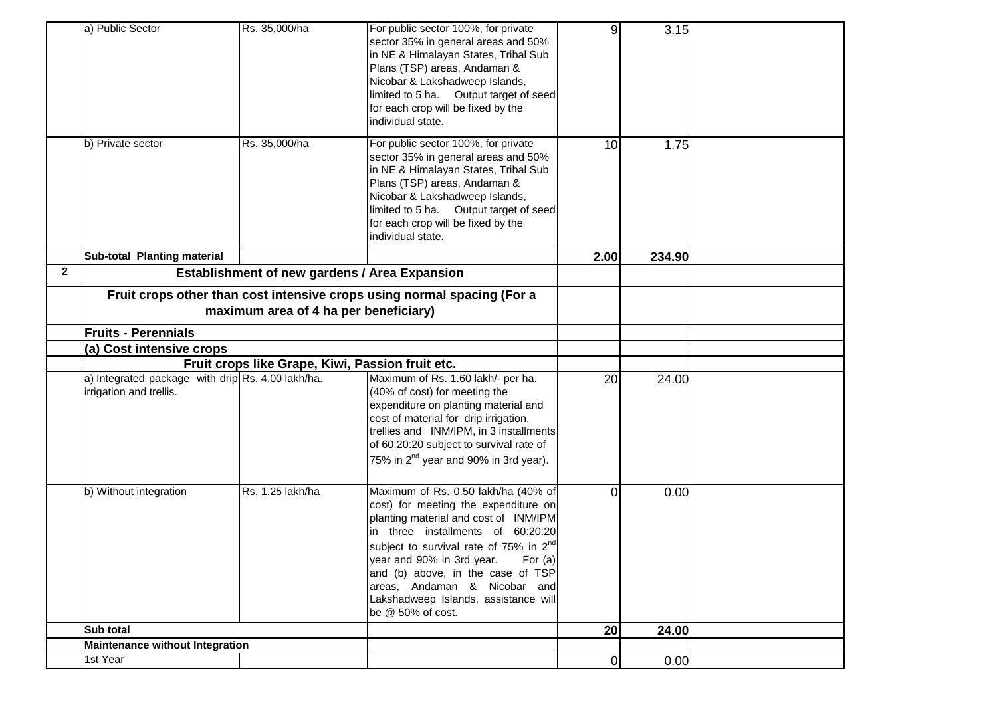|              | a) Public Sector                                                             | Rs. 35,000/ha                                 | For public sector 100%, for private<br>sector 35% in general areas and 50%<br>in NE & Himalayan States, Tribal Sub<br>Plans (TSP) areas, Andaman &<br>Nicobar & Lakshadweep Islands,<br>limited to 5 ha. Output target of seed<br>for each crop will be fixed by the<br>individual state.                                                                                                   | 9               | 3.15   |  |
|--------------|------------------------------------------------------------------------------|-----------------------------------------------|---------------------------------------------------------------------------------------------------------------------------------------------------------------------------------------------------------------------------------------------------------------------------------------------------------------------------------------------------------------------------------------------|-----------------|--------|--|
|              | b) Private sector                                                            | Rs. 35,000/ha                                 | For public sector 100%, for private<br>sector 35% in general areas and 50%<br>in NE & Himalayan States, Tribal Sub<br>Plans (TSP) areas, Andaman &<br>Nicobar & Lakshadweep Islands,<br>limited to 5 ha. Output target of seed<br>for each crop will be fixed by the<br>individual state.                                                                                                   | 10              | 1.75   |  |
|              | Sub-total Planting material                                                  |                                               |                                                                                                                                                                                                                                                                                                                                                                                             | 2.00            | 234.90 |  |
| $\mathbf{2}$ |                                                                              | Establishment of new gardens / Area Expansion |                                                                                                                                                                                                                                                                                                                                                                                             |                 |        |  |
|              |                                                                              | maximum area of 4 ha per beneficiary)         | Fruit crops other than cost intensive crops using normal spacing (For a                                                                                                                                                                                                                                                                                                                     |                 |        |  |
|              | <b>Fruits - Perennials</b>                                                   |                                               |                                                                                                                                                                                                                                                                                                                                                                                             |                 |        |  |
|              | (a) Cost intensive crops<br>Fruit crops like Grape, Kiwi, Passion fruit etc. |                                               |                                                                                                                                                                                                                                                                                                                                                                                             |                 |        |  |
|              | a) Integrated package with drip Rs. 4.00 lakh/ha.<br>irrigation and trellis. |                                               | Maximum of Rs. 1.60 lakh/- per ha.<br>(40% of cost) for meeting the<br>expenditure on planting material and<br>cost of material for drip irrigation,<br>trellies and INM/IPM, in 3 installments<br>of 60:20:20 subject to survival rate of<br>75% in 2 <sup>nd</sup> year and 90% in 3rd year).                                                                                             | 20              | 24.00  |  |
|              | b) Without integration                                                       | Rs. 1.25 lakh/ha                              | Maximum of Rs. 0.50 lakh/ha (40% of<br>cost) for meeting the expenditure on<br>planting material and cost of INM/IPM<br>in three installments of 60:20:20<br>subject to survival rate of 75% in 2 <sup>nd</sup><br>year and 90% in 3rd year.<br>For $(a)$<br>and (b) above, in the case of TSP<br>areas, Andaman & Nicobar and<br>Lakshadweep Islands, assistance will<br>be @ 50% of cost. | $\Omega$        | 0.00   |  |
|              | Sub total                                                                    |                                               |                                                                                                                                                                                                                                                                                                                                                                                             | 20 <sup>1</sup> | 24.00  |  |
|              | <b>Maintenance without Integration</b>                                       |                                               |                                                                                                                                                                                                                                                                                                                                                                                             |                 |        |  |
|              | 1st Year                                                                     |                                               |                                                                                                                                                                                                                                                                                                                                                                                             | 0               | 0.00   |  |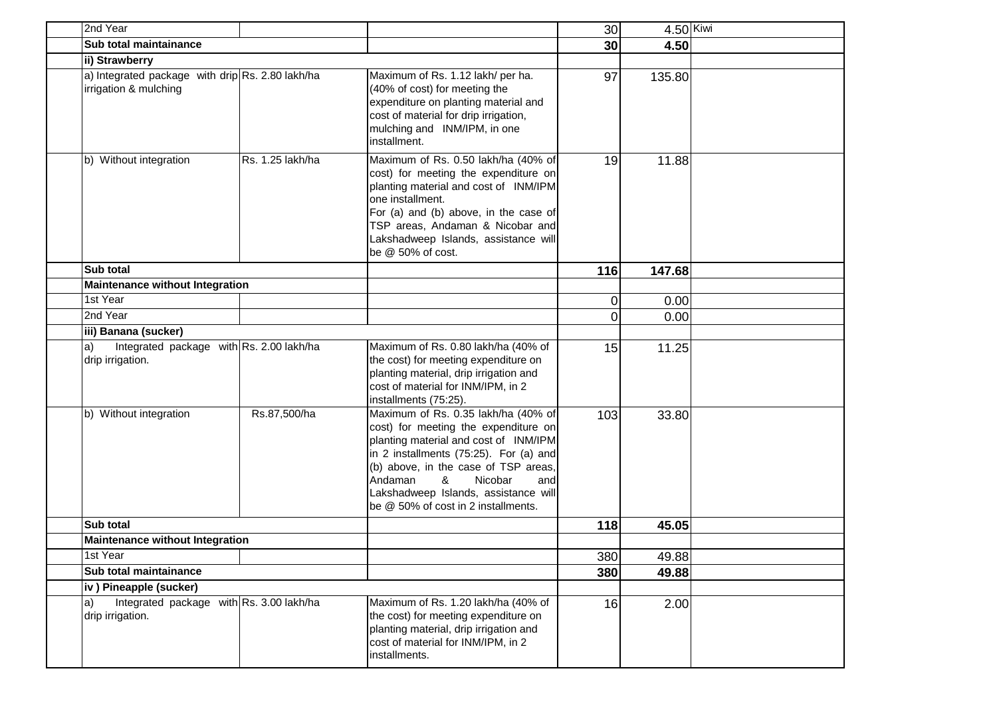| 2nd Year                                                                  |                  |                                                                                                                                                                                                                                                                                                                         | 30              | $4.50$ Kiwi |  |
|---------------------------------------------------------------------------|------------------|-------------------------------------------------------------------------------------------------------------------------------------------------------------------------------------------------------------------------------------------------------------------------------------------------------------------------|-----------------|-------------|--|
| Sub total maintainance                                                    |                  |                                                                                                                                                                                                                                                                                                                         | 30 <sup>1</sup> | 4.50        |  |
| ii) Strawberry                                                            |                  |                                                                                                                                                                                                                                                                                                                         |                 |             |  |
| a) Integrated package with drip Rs. 2.80 lakh/ha<br>irrigation & mulching |                  | Maximum of Rs. 1.12 lakh/ per ha.<br>(40% of cost) for meeting the<br>expenditure on planting material and<br>cost of material for drip irrigation,<br>mulching and INM/IPM, in one<br>installment.                                                                                                                     | 97              | 135.80      |  |
| b) Without integration                                                    | Rs. 1.25 lakh/ha | Maximum of Rs. 0.50 lakh/ha (40% of<br>cost) for meeting the expenditure on<br>planting material and cost of INM/IPM<br>one installment.<br>For (a) and (b) above, in the case of<br>TSP areas, Andaman & Nicobar and<br>Lakshadweep Islands, assistance will<br>be @ 50% of cost.                                      | 19              | 11.88       |  |
| Sub total                                                                 |                  |                                                                                                                                                                                                                                                                                                                         | 116             | 147.68      |  |
| <b>Maintenance without Integration</b>                                    |                  |                                                                                                                                                                                                                                                                                                                         |                 |             |  |
| 1st Year                                                                  |                  |                                                                                                                                                                                                                                                                                                                         | 0               | 0.00        |  |
| 2nd Year                                                                  |                  |                                                                                                                                                                                                                                                                                                                         | 0               | 0.00        |  |
| iii) Banana (sucker)                                                      |                  |                                                                                                                                                                                                                                                                                                                         |                 |             |  |
| Integrated package with Rs. 2.00 lakh/ha<br>a)<br>drip irrigation.        |                  | Maximum of Rs. 0.80 lakh/ha (40% of<br>the cost) for meeting expenditure on<br>planting material, drip irrigation and<br>cost of material for INM/IPM, in 2<br>installments (75:25).                                                                                                                                    | 15              | 11.25       |  |
| b) Without integration                                                    | Rs.87,500/ha     | Maximum of Rs. 0.35 lakh/ha (40% of<br>cost) for meeting the expenditure on<br>planting material and cost of INM/IPM<br>in 2 installments (75:25). For (a) and<br>(b) above, in the case of TSP areas,<br>Andaman<br>&<br>Nicobar<br>and<br>Lakshadweep Islands, assistance will<br>be @ 50% of cost in 2 installments. | 103             | 33.80       |  |
| Sub total                                                                 |                  |                                                                                                                                                                                                                                                                                                                         | 118             | 45.05       |  |
| <b>Maintenance without Integration</b>                                    |                  |                                                                                                                                                                                                                                                                                                                         |                 |             |  |
| 1st Year                                                                  |                  |                                                                                                                                                                                                                                                                                                                         | 380             | 49.88       |  |
| Sub total maintainance                                                    |                  |                                                                                                                                                                                                                                                                                                                         | 380             | 49.88       |  |
| iv) Pineapple (sucker)                                                    |                  |                                                                                                                                                                                                                                                                                                                         |                 |             |  |
| Integrated package with Rs. 3.00 lakh/ha<br>la)<br>drip irrigation.       |                  | Maximum of Rs. 1.20 lakh/ha (40% of<br>the cost) for meeting expenditure on<br>planting material, drip irrigation and<br>cost of material for INM/IPM, in 2<br>installments.                                                                                                                                            | 16              | 2.00        |  |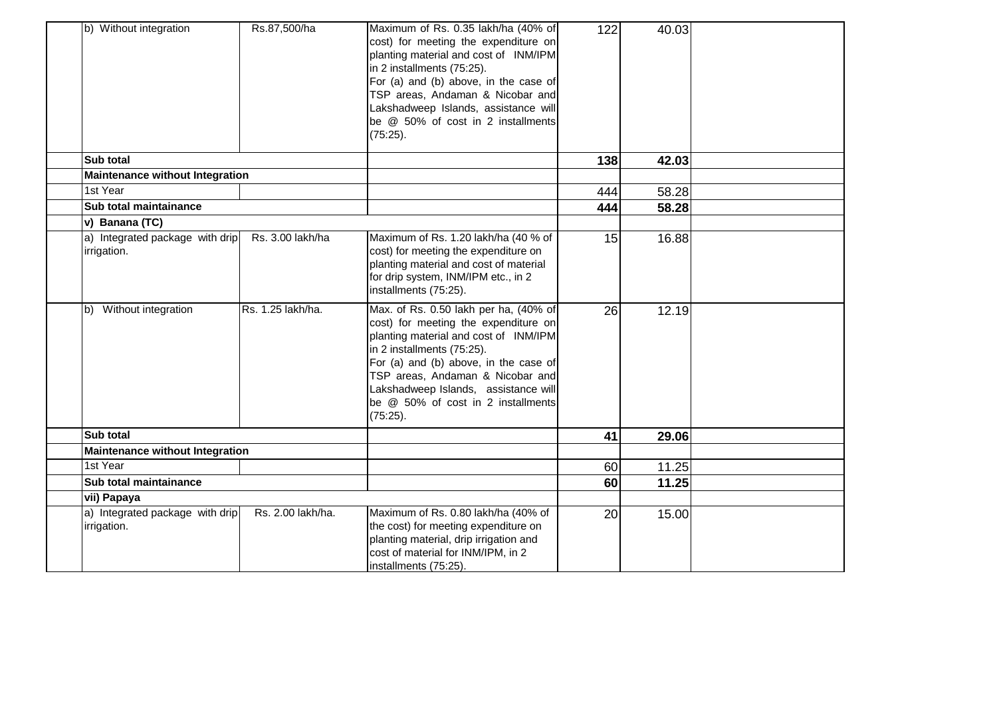| b) Without integration                         | Rs.87,500/ha      | Maximum of Rs. 0.35 lakh/ha (40% of<br>cost) for meeting the expenditure on<br>planting material and cost of INM/IPM<br>in 2 installments (75:25).<br>For (a) and (b) above, in the case of<br>TSP areas, Andaman & Nicobar and<br>Lakshadweep Islands, assistance will<br>be @ 50% of cost in 2 installments<br>(75:25).   | 122 | 40.03 |  |
|------------------------------------------------|-------------------|-----------------------------------------------------------------------------------------------------------------------------------------------------------------------------------------------------------------------------------------------------------------------------------------------------------------------------|-----|-------|--|
| <b>Sub total</b>                               |                   |                                                                                                                                                                                                                                                                                                                             | 138 | 42.03 |  |
| <b>Maintenance without Integration</b>         |                   |                                                                                                                                                                                                                                                                                                                             |     |       |  |
| 1st Year                                       |                   |                                                                                                                                                                                                                                                                                                                             | 444 | 58.28 |  |
| Sub total maintainance                         |                   |                                                                                                                                                                                                                                                                                                                             | 444 | 58.28 |  |
| v) Banana (TC)                                 |                   |                                                                                                                                                                                                                                                                                                                             |     |       |  |
| a) Integrated package with drip<br>irrigation. | Rs. 3.00 lakh/ha  | Maximum of Rs. 1.20 lakh/ha (40 % of<br>cost) for meeting the expenditure on<br>planting material and cost of material<br>for drip system, INM/IPM etc., in 2<br>installments (75:25).                                                                                                                                      | 15  | 16.88 |  |
| b) Without integration                         | Rs. 1.25 lakh/ha. | Max. of Rs. 0.50 lakh per ha, (40% of<br>cost) for meeting the expenditure on<br>planting material and cost of INM/IPM<br>in 2 installments (75:25).<br>For (a) and (b) above, in the case of<br>TSP areas, Andaman & Nicobar and<br>Lakshadweep Islands, assistance will<br>be @ 50% of cost in 2 installments<br>(75:25). | 26  | 12.19 |  |
| Sub total                                      |                   |                                                                                                                                                                                                                                                                                                                             | 41  | 29.06 |  |
| <b>Maintenance without Integration</b>         |                   |                                                                                                                                                                                                                                                                                                                             |     |       |  |
| 1st Year                                       |                   |                                                                                                                                                                                                                                                                                                                             | 60  | 11.25 |  |
| Sub total maintainance                         |                   |                                                                                                                                                                                                                                                                                                                             | 60  | 11.25 |  |
| vii) Papaya                                    |                   |                                                                                                                                                                                                                                                                                                                             |     |       |  |
| a) Integrated package with drip<br>irrigation. | Rs. 2.00 lakh/ha. | Maximum of Rs. 0.80 lakh/ha (40% of<br>the cost) for meeting expenditure on<br>planting material, drip irrigation and<br>cost of material for INM/IPM, in 2<br>installments (75:25).                                                                                                                                        | 20  | 15.00 |  |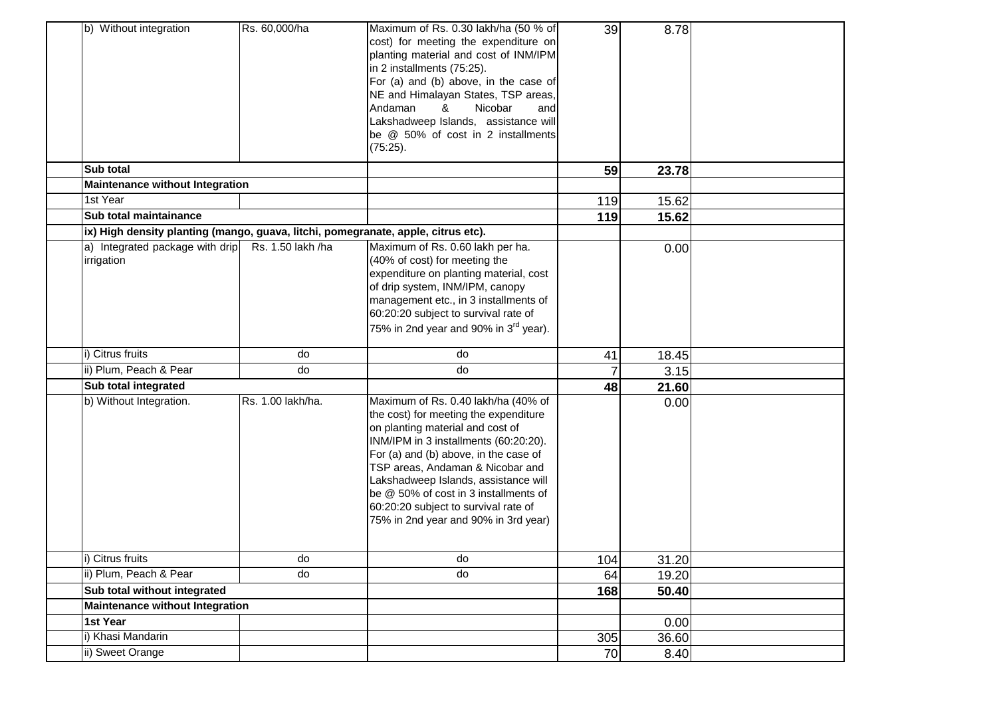| b) Without integration                                                            | Rs. 60,000/ha     | Maximum of Rs. 0.30 lakh/ha (50 % of<br>cost) for meeting the expenditure on<br>planting material and cost of INM/IPM<br>in 2 installments (75:25).<br>For (a) and (b) above, in the case of<br>NE and Himalayan States, TSP areas,<br>Andaman<br>Nicobar<br>&<br>and<br>Lakshadweep Islands, assistance will<br>be @ 50% of cost in 2 installments<br>(75:25).                                         | 39  | 8.78  |  |
|-----------------------------------------------------------------------------------|-------------------|---------------------------------------------------------------------------------------------------------------------------------------------------------------------------------------------------------------------------------------------------------------------------------------------------------------------------------------------------------------------------------------------------------|-----|-------|--|
| <b>Sub total</b><br><b>Maintenance without Integration</b>                        |                   |                                                                                                                                                                                                                                                                                                                                                                                                         | 59  | 23.78 |  |
| 1st Year                                                                          |                   |                                                                                                                                                                                                                                                                                                                                                                                                         | 119 | 15.62 |  |
| Sub total maintainance                                                            |                   |                                                                                                                                                                                                                                                                                                                                                                                                         | 119 | 15.62 |  |
| ix) High density planting (mango, guava, litchi, pomegranate, apple, citrus etc). |                   |                                                                                                                                                                                                                                                                                                                                                                                                         |     |       |  |
| a) Integrated package with drip<br>irrigation                                     | Rs. 1.50 lakh /ha | Maximum of Rs. 0.60 lakh per ha.<br>(40% of cost) for meeting the<br>expenditure on planting material, cost<br>of drip system, INM/IPM, canopy<br>management etc., in 3 installments of<br>60:20:20 subject to survival rate of<br>75% in 2nd year and 90% in 3 <sup>rd</sup> year).                                                                                                                    |     | 0.00  |  |
| i) Citrus fruits                                                                  | do                | do                                                                                                                                                                                                                                                                                                                                                                                                      | 41  | 18.45 |  |
| ii) Plum, Peach & Pear                                                            | do                | do                                                                                                                                                                                                                                                                                                                                                                                                      |     | 3.15  |  |
| Sub total integrated                                                              |                   |                                                                                                                                                                                                                                                                                                                                                                                                         | 48  | 21.60 |  |
| b) Without Integration.                                                           | Rs. 1.00 lakh/ha. | Maximum of Rs. 0.40 lakh/ha (40% of<br>the cost) for meeting the expenditure<br>on planting material and cost of<br>INM/IPM in 3 installments (60:20:20).<br>For (a) and (b) above, in the case of<br>TSP areas, Andaman & Nicobar and<br>Lakshadweep Islands, assistance will<br>be @ 50% of cost in 3 installments of<br>60:20:20 subject to survival rate of<br>75% in 2nd year and 90% in 3rd year) |     | 0.00  |  |
| i) Citrus fruits                                                                  | do                | do                                                                                                                                                                                                                                                                                                                                                                                                      | 104 | 31.20 |  |
| ii) Plum, Peach & Pear                                                            | do                | do                                                                                                                                                                                                                                                                                                                                                                                                      | 64  | 19.20 |  |
| Sub total without integrated                                                      |                   |                                                                                                                                                                                                                                                                                                                                                                                                         | 168 | 50.40 |  |
| <b>Maintenance without Integration</b>                                            |                   |                                                                                                                                                                                                                                                                                                                                                                                                         |     |       |  |
| 1st Year                                                                          |                   |                                                                                                                                                                                                                                                                                                                                                                                                         |     | 0.00  |  |
| i) Khasi Mandarin                                                                 |                   |                                                                                                                                                                                                                                                                                                                                                                                                         | 305 | 36.60 |  |
| ii) Sweet Orange                                                                  |                   |                                                                                                                                                                                                                                                                                                                                                                                                         | 70  | 8.40  |  |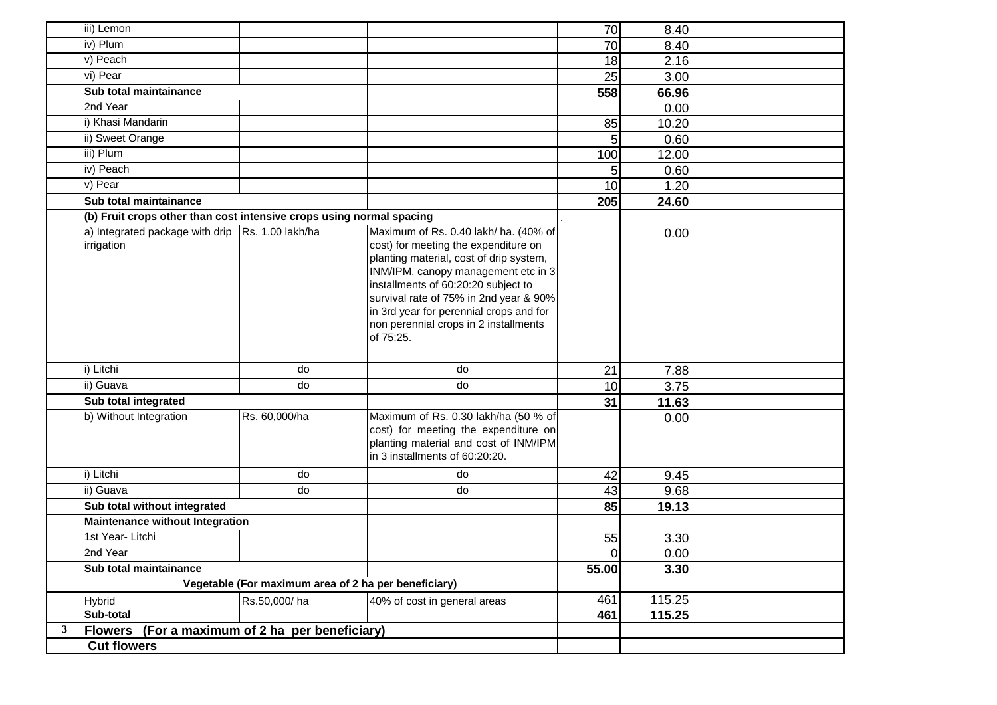|                | iii) Lemon                                                           |                                                      |                                                                                                                                                                                                                                                                                                                                                   | 70             | 8.40   |  |
|----------------|----------------------------------------------------------------------|------------------------------------------------------|---------------------------------------------------------------------------------------------------------------------------------------------------------------------------------------------------------------------------------------------------------------------------------------------------------------------------------------------------|----------------|--------|--|
|                | iv) Plum                                                             |                                                      |                                                                                                                                                                                                                                                                                                                                                   | 70             | 8.40   |  |
|                | v) Peach                                                             |                                                      |                                                                                                                                                                                                                                                                                                                                                   | 18             | 2.16   |  |
|                | vi) Pear                                                             |                                                      |                                                                                                                                                                                                                                                                                                                                                   | 25             | 3.00   |  |
|                | Sub total maintainance                                               |                                                      |                                                                                                                                                                                                                                                                                                                                                   | 558            | 66.96  |  |
|                | $2nd$ Year                                                           |                                                      |                                                                                                                                                                                                                                                                                                                                                   |                | 0.00   |  |
|                | i) Khasi Mandarin                                                    |                                                      |                                                                                                                                                                                                                                                                                                                                                   | 85             | 10.20  |  |
|                | ii) Sweet Orange                                                     |                                                      |                                                                                                                                                                                                                                                                                                                                                   | 5              | 0.60   |  |
|                | iii) Plum                                                            |                                                      |                                                                                                                                                                                                                                                                                                                                                   | 100            | 12.00  |  |
|                | iv) Peach                                                            |                                                      |                                                                                                                                                                                                                                                                                                                                                   | 5              | 0.60   |  |
|                | v) Pear                                                              |                                                      |                                                                                                                                                                                                                                                                                                                                                   | 10             | 1.20   |  |
|                | Sub total maintainance                                               |                                                      |                                                                                                                                                                                                                                                                                                                                                   | 205            | 24.60  |  |
|                | (b) Fruit crops other than cost intensive crops using normal spacing |                                                      |                                                                                                                                                                                                                                                                                                                                                   |                |        |  |
|                | a) Integrated package with drip Rs. 1.00 lakh/ha<br>irrigation       |                                                      | Maximum of Rs. 0.40 lakh/ ha. (40% of<br>cost) for meeting the expenditure on<br>planting material, cost of drip system,<br>INM/IPM, canopy management etc in 3<br>installments of 60:20:20 subject to<br>survival rate of 75% in 2nd year & 90%<br>in 3rd year for perennial crops and for<br>non perennial crops in 2 installments<br>of 75:25. |                | 0.00   |  |
|                | i) Litchi                                                            | do                                                   | do                                                                                                                                                                                                                                                                                                                                                | 21             | 7.88   |  |
|                | ii) Guava                                                            | do                                                   | do                                                                                                                                                                                                                                                                                                                                                | 10             | 3.75   |  |
|                | Sub total integrated                                                 |                                                      |                                                                                                                                                                                                                                                                                                                                                   | 31             | 11.63  |  |
|                | b) Without Integration                                               | Rs. 60,000/ha                                        | Maximum of Rs. 0.30 lakh/ha (50 % of<br>cost) for meeting the expenditure on<br>planting material and cost of INM/IPM<br>in 3 installments of 60:20:20.                                                                                                                                                                                           |                | 0.00   |  |
|                | i) Litchi                                                            | do                                                   | do                                                                                                                                                                                                                                                                                                                                                | 42             | 9.45   |  |
|                | ii) Guava                                                            | do                                                   | do                                                                                                                                                                                                                                                                                                                                                | 43             | 9.68   |  |
|                | Sub total without integrated                                         |                                                      |                                                                                                                                                                                                                                                                                                                                                   | 85             | 19.13  |  |
|                | Maintenance without Integration                                      |                                                      |                                                                                                                                                                                                                                                                                                                                                   |                |        |  |
|                | 1st Year- Litchi                                                     |                                                      |                                                                                                                                                                                                                                                                                                                                                   | 55             | 3.30   |  |
|                | 2nd Year                                                             |                                                      |                                                                                                                                                                                                                                                                                                                                                   | $\overline{0}$ | 0.00   |  |
|                | Sub total maintainance                                               |                                                      |                                                                                                                                                                                                                                                                                                                                                   | 55.00          | 3.30   |  |
|                |                                                                      | Vegetable (For maximum area of 2 ha per beneficiary) |                                                                                                                                                                                                                                                                                                                                                   |                |        |  |
|                | <b>Hybrid</b>                                                        | Rs.50,000/ha                                         | 40% of cost in general areas                                                                                                                                                                                                                                                                                                                      | 461            | 115.25 |  |
|                | Sub-total                                                            |                                                      |                                                                                                                                                                                                                                                                                                                                                   | 461            | 115.25 |  |
| 3 <sup>7</sup> | Flowers (For a maximum of 2 ha per beneficiary)                      |                                                      |                                                                                                                                                                                                                                                                                                                                                   |                |        |  |
|                | <b>Cut flowers</b>                                                   |                                                      |                                                                                                                                                                                                                                                                                                                                                   |                |        |  |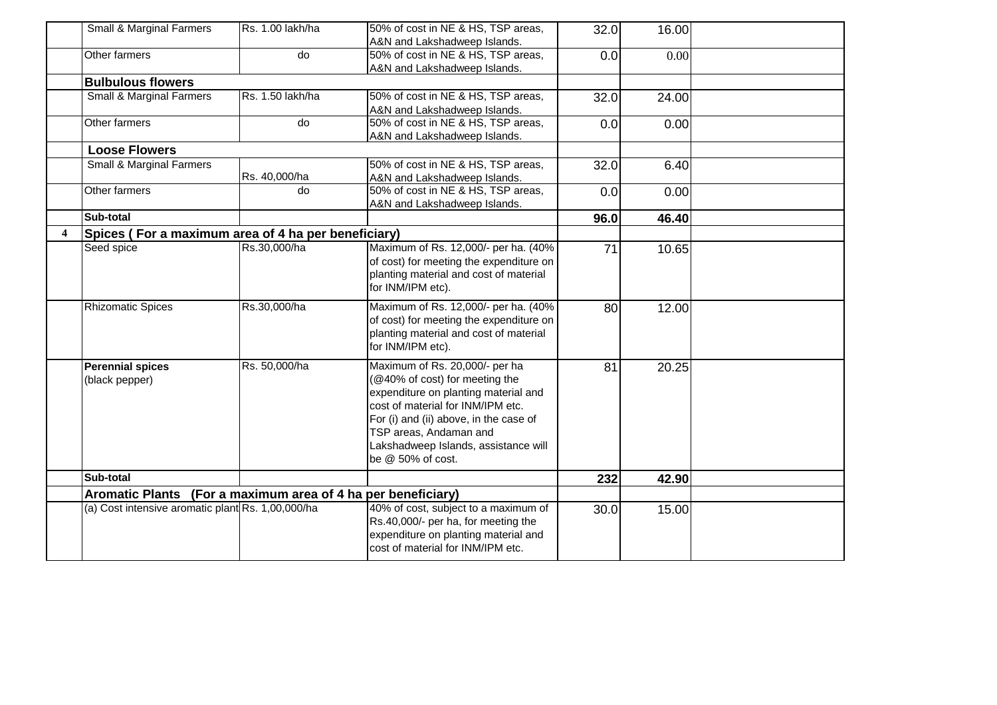|                         | Small & Marginal Farmers                                     | Rs. 1.00 lakh/ha | 50% of cost in NE & HS, TSP areas,      | 32.0 | 16.00 |  |
|-------------------------|--------------------------------------------------------------|------------------|-----------------------------------------|------|-------|--|
|                         |                                                              |                  | A&N and Lakshadweep Islands.            |      |       |  |
|                         | Other farmers                                                | do               | 50% of cost in NE & HS, TSP areas,      | 0.0  | 0.00  |  |
|                         |                                                              |                  | A&N and Lakshadweep Islands.            |      |       |  |
|                         | <b>Bulbulous flowers</b>                                     |                  |                                         |      |       |  |
|                         | <b>Small &amp; Marginal Farmers</b>                          | Rs. 1.50 lakh/ha | 50% of cost in NE & HS, TSP areas,      | 32.0 | 24.00 |  |
|                         |                                                              |                  | A&N and Lakshadweep Islands.            |      |       |  |
|                         | Other farmers                                                | do               | 50% of cost in NE & HS, TSP areas,      | 0.0  | 0.00  |  |
|                         |                                                              |                  | A&N and Lakshadweep Islands.            |      |       |  |
|                         | <b>Loose Flowers</b>                                         |                  |                                         |      |       |  |
|                         | Small & Marginal Farmers                                     |                  | 50% of cost in NE & HS, TSP areas,      | 32.0 | 6.40  |  |
|                         |                                                              | Rs. 40,000/ha    | A&N and Lakshadweep Islands.            |      |       |  |
|                         | Other farmers                                                | do               | 50% of cost in NE & HS, TSP areas,      | 0.0  | 0.00  |  |
|                         |                                                              |                  | A&N and Lakshadweep Islands.            |      |       |  |
|                         | Sub-total                                                    |                  |                                         | 96.0 | 46.40 |  |
| $\overline{\mathbf{4}}$ | Spices (For a maximum area of 4 ha per beneficiary)          |                  |                                         |      |       |  |
|                         | Seed spice                                                   | Rs.30,000/ha     | Maximum of Rs. 12,000/- per ha. (40%    | 71   | 10.65 |  |
|                         |                                                              |                  | of cost) for meeting the expenditure on |      |       |  |
|                         |                                                              |                  | planting material and cost of material  |      |       |  |
|                         |                                                              |                  | for INM/IPM etc).                       |      |       |  |
|                         | <b>Rhizomatic Spices</b>                                     | Rs.30,000/ha     | Maximum of Rs. 12,000/- per ha. (40%    | 80   | 12.00 |  |
|                         |                                                              |                  | of cost) for meeting the expenditure on |      |       |  |
|                         |                                                              |                  | planting material and cost of material  |      |       |  |
|                         |                                                              |                  | for INM/IPM etc).                       |      |       |  |
|                         |                                                              |                  |                                         |      |       |  |
|                         | <b>Perennial spices</b>                                      | Rs. 50,000/ha    | Maximum of Rs. 20,000/- per ha          | 81   | 20.25 |  |
|                         | (black pepper)                                               |                  | (@40% of cost) for meeting the          |      |       |  |
|                         |                                                              |                  | expenditure on planting material and    |      |       |  |
|                         |                                                              |                  | cost of material for INM/IPM etc.       |      |       |  |
|                         |                                                              |                  | For (i) and (ii) above, in the case of  |      |       |  |
|                         |                                                              |                  | TSP areas, Andaman and                  |      |       |  |
|                         |                                                              |                  | Lakshadweep Islands, assistance will    |      |       |  |
|                         |                                                              |                  | be @ 50% of cost.                       |      |       |  |
|                         | Sub-total                                                    |                  |                                         | 232  | 42.90 |  |
|                         | Aromatic Plants (For a maximum area of 4 ha per beneficiary) |                  |                                         |      |       |  |
|                         | (a) Cost intensive aromatic plant Rs. 1,00,000/ha            |                  | 40% of cost, subject to a maximum of    | 30.0 | 15.00 |  |
|                         |                                                              |                  | Rs.40,000/- per ha, for meeting the     |      |       |  |
|                         |                                                              |                  | expenditure on planting material and    |      |       |  |
|                         |                                                              |                  | cost of material for INM/IPM etc.       |      |       |  |
|                         |                                                              |                  |                                         |      |       |  |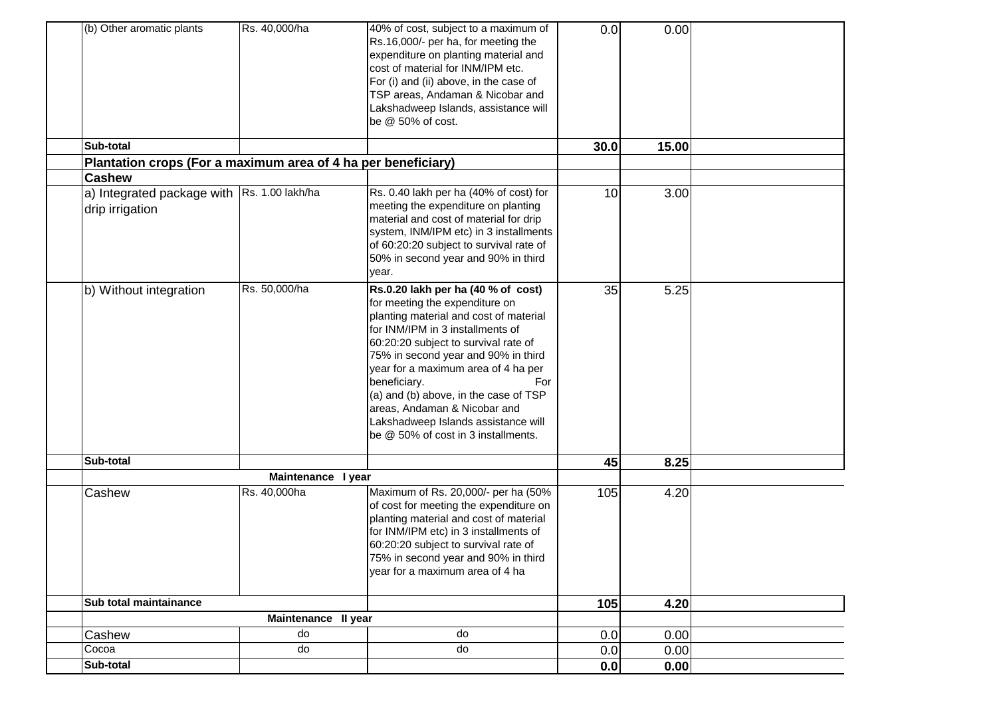| (b) Other aromatic plants                                     | Rs. 40,000/ha       | 40% of cost, subject to a maximum of<br>Rs.16,000/- per ha, for meeting the<br>expenditure on planting material and<br>cost of material for INM/IPM etc.<br>For (i) and (ii) above, in the case of<br>TSP areas, Andaman & Nicobar and<br>Lakshadweep Islands, assistance will<br>be @ 50% of cost.                                                                                                                                                    | 0.0  | 0.00  |  |
|---------------------------------------------------------------|---------------------|--------------------------------------------------------------------------------------------------------------------------------------------------------------------------------------------------------------------------------------------------------------------------------------------------------------------------------------------------------------------------------------------------------------------------------------------------------|------|-------|--|
| Sub-total                                                     |                     |                                                                                                                                                                                                                                                                                                                                                                                                                                                        | 30.0 | 15.00 |  |
| Plantation crops (For a maximum area of 4 ha per beneficiary) |                     |                                                                                                                                                                                                                                                                                                                                                                                                                                                        |      |       |  |
| <b>Cashew</b>                                                 |                     |                                                                                                                                                                                                                                                                                                                                                                                                                                                        |      |       |  |
| a) Integrated package with<br>drip irrigation                 | Rs. 1.00 lakh/ha    | Rs. 0.40 lakh per ha (40% of cost) for<br>meeting the expenditure on planting<br>material and cost of material for drip<br>system, INM/IPM etc) in 3 installments<br>of 60:20:20 subject to survival rate of<br>50% in second year and 90% in third<br>year.                                                                                                                                                                                           | 10   | 3.00  |  |
| b) Without integration                                        | Rs. 50,000/ha       | Rs.0.20 lakh per ha (40 % of cost)<br>for meeting the expenditure on<br>planting material and cost of material<br>for INM/IPM in 3 installments of<br>60:20:20 subject to survival rate of<br>75% in second year and 90% in third<br>year for a maximum area of 4 ha per<br>beneficiary.<br>For<br>(a) and (b) above, in the case of TSP<br>areas, Andaman & Nicobar and<br>Lakshadweep Islands assistance will<br>be @ 50% of cost in 3 installments. | 35   | 5.25  |  |
| Sub-total                                                     |                     |                                                                                                                                                                                                                                                                                                                                                                                                                                                        | 45   | 8.25  |  |
|                                                               | Maintenance I year  |                                                                                                                                                                                                                                                                                                                                                                                                                                                        |      |       |  |
| Cashew                                                        | Rs. 40,000ha        | Maximum of Rs. 20,000/- per ha (50%<br>of cost for meeting the expenditure on<br>planting material and cost of material<br>for INM/IPM etc) in 3 installments of<br>60:20:20 subject to survival rate of<br>75% in second year and 90% in third<br>year for a maximum area of 4 ha                                                                                                                                                                     | 105  | 4.20  |  |
| Sub total maintainance                                        |                     |                                                                                                                                                                                                                                                                                                                                                                                                                                                        | 105  | 4.20  |  |
|                                                               | Maintenance II year |                                                                                                                                                                                                                                                                                                                                                                                                                                                        |      |       |  |
| Cashew                                                        | do                  | do                                                                                                                                                                                                                                                                                                                                                                                                                                                     | 0.0  | 0.00  |  |
| Cocoa                                                         | do                  | do                                                                                                                                                                                                                                                                                                                                                                                                                                                     | 0.0  | 0.00  |  |
| Sub-total                                                     |                     |                                                                                                                                                                                                                                                                                                                                                                                                                                                        | 0.0  | 0.00  |  |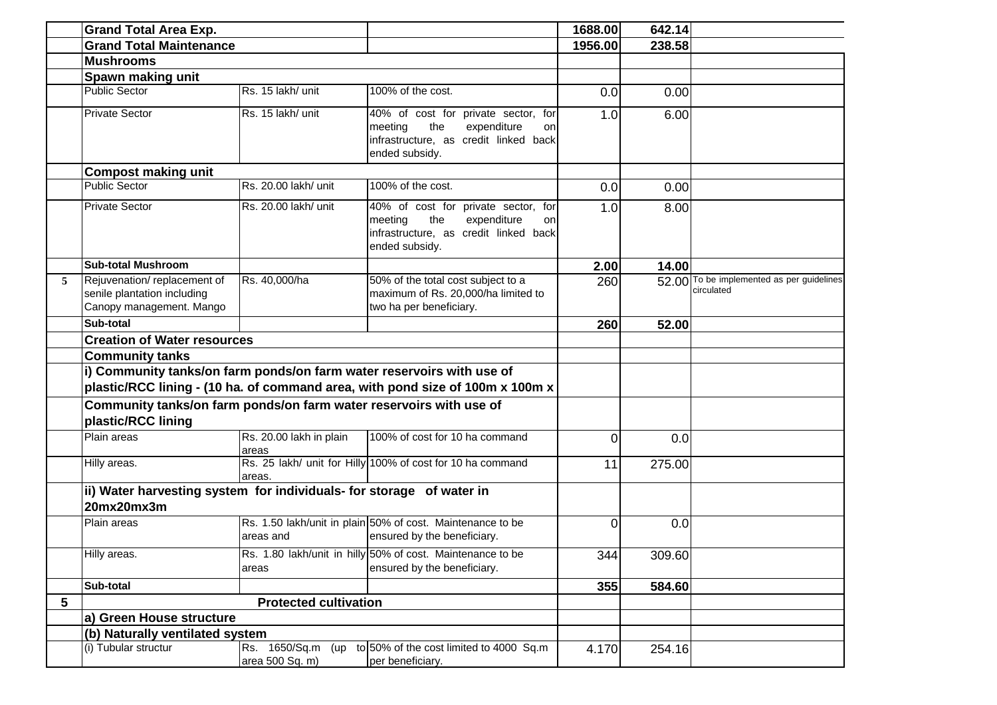|   | <b>Grand Total Area Exp.</b>                                                             |                                         |                                                                                                                                       | 1688.00  | 642.14 |                                                         |
|---|------------------------------------------------------------------------------------------|-----------------------------------------|---------------------------------------------------------------------------------------------------------------------------------------|----------|--------|---------------------------------------------------------|
|   | <b>Grand Total Maintenance</b>                                                           |                                         |                                                                                                                                       | 1956.00  | 238.58 |                                                         |
|   | <b>Mushrooms</b>                                                                         |                                         |                                                                                                                                       |          |        |                                                         |
|   | Spawn making unit                                                                        |                                         |                                                                                                                                       |          |        |                                                         |
|   | <b>Public Sector</b>                                                                     | Rs. 15 lakh/ unit                       | 100% of the cost.                                                                                                                     | 0.0      | 0.00   |                                                         |
|   | <b>Private Sector</b>                                                                    | Rs. 15 lakh/ unit                       | 40% of cost for private sector, for<br>the<br>meeting<br>expenditure<br>on<br>infrastructure, as credit linked back<br>ended subsidy. | 1.0      | 6.00   |                                                         |
|   | <b>Compost making unit</b>                                                               |                                         |                                                                                                                                       |          |        |                                                         |
|   | <b>Public Sector</b>                                                                     | Rs. 20.00 lakh/ unit                    | 100% of the cost.                                                                                                                     | 0.0      | 0.00   |                                                         |
|   | <b>Private Sector</b>                                                                    | Rs. 20.00 lakh/ unit                    | 40% of cost for private sector, for<br>the<br>meeting<br>expenditure<br>on<br>infrastructure, as credit linked back<br>ended subsidy. | 1.0      | 8.00   |                                                         |
|   | <b>Sub-total Mushroom</b>                                                                |                                         |                                                                                                                                       | 2.00     | 14.00  |                                                         |
| 5 | Rejuvenation/replacement of<br>senile plantation including<br>Canopy management. Mango   | Rs. 40,000/ha                           | 50% of the total cost subject to a<br>maximum of Rs. 20,000/ha limited to<br>two ha per beneficiary.                                  | 260      |        | 52.00 To be implemented as per guidelines<br>circulated |
|   | Sub-total                                                                                |                                         |                                                                                                                                       | 260      | 52.00  |                                                         |
|   | <b>Creation of Water resources</b>                                                       |                                         |                                                                                                                                       |          |        |                                                         |
|   | <b>Community tanks</b>                                                                   |                                         |                                                                                                                                       |          |        |                                                         |
|   | i) Community tanks/on farm ponds/on farm water reservoirs with use of                    |                                         |                                                                                                                                       |          |        |                                                         |
|   |                                                                                          |                                         | plastic/RCC lining - (10 ha. of command area, with pond size of 100m x 100m x                                                         |          |        |                                                         |
|   | Community tanks/on farm ponds/on farm water reservoirs with use of<br>plastic/RCC lining |                                         |                                                                                                                                       |          |        |                                                         |
|   | Plain areas                                                                              | Rs. 20.00 lakh in plain<br>areas        | 100% of cost for 10 ha command                                                                                                        | $\Omega$ | 0.0    |                                                         |
|   | Hilly areas.                                                                             | areas.                                  | Rs. 25 lakh/ unit for Hilly 100% of cost for 10 ha command                                                                            | 11       | 275.00 |                                                         |
|   | ii) Water harvesting system for individuals- for storage of water in<br>20mx20mx3m       |                                         |                                                                                                                                       |          |        |                                                         |
|   | Plain areas                                                                              | areas and                               | Rs. 1.50 lakh/unit in plain 50% of cost. Maintenance to be<br>ensured by the beneficiary.                                             | $\Omega$ | 0.0    |                                                         |
|   | Hilly areas.                                                                             | areas                                   | Rs. 1.80 lakh/unit in hilly 50% of cost. Maintenance to be<br>ensured by the beneficiary.                                             | 344      | 309.60 |                                                         |
|   | Sub-total                                                                                |                                         |                                                                                                                                       | 355      | 584.60 |                                                         |
| 5 |                                                                                          | <b>Protected cultivation</b>            |                                                                                                                                       |          |        |                                                         |
|   | a) Green House structure                                                                 |                                         |                                                                                                                                       |          |        |                                                         |
|   | (b) Naturally ventilated system                                                          |                                         |                                                                                                                                       |          |        |                                                         |
|   | (i) Tubular structur                                                                     | Rs. 1650/Sq.m<br>(up<br>area 500 Sq. m) | to 50% of the cost limited to 4000 Sq.m<br>per beneficiary.                                                                           | 4.170    | 254.16 |                                                         |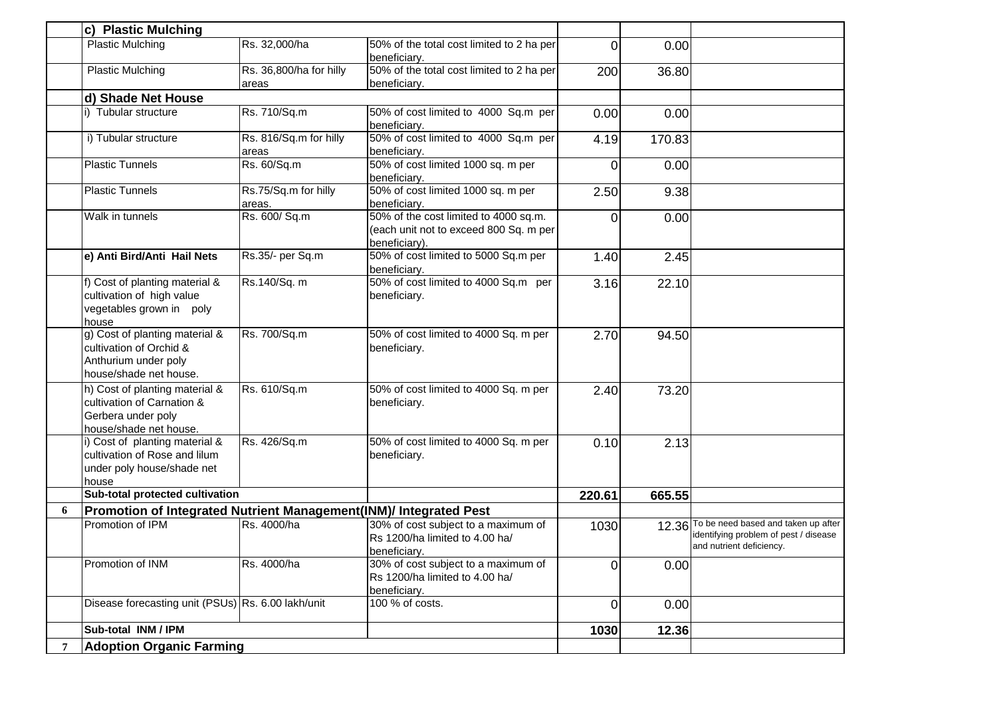|   | c) Plastic Mulching                                                                                          |                                  |                                                                                                  |                |        |                                                                                                                |
|---|--------------------------------------------------------------------------------------------------------------|----------------------------------|--------------------------------------------------------------------------------------------------|----------------|--------|----------------------------------------------------------------------------------------------------------------|
|   | <b>Plastic Mulching</b>                                                                                      | Rs. 32,000/ha                    | 50% of the total cost limited to 2 ha per<br>beneficiary.                                        | $\Omega$       | 0.00   |                                                                                                                |
|   | <b>Plastic Mulching</b>                                                                                      | Rs. 36,800/ha for hilly<br>areas | 50% of the total cost limited to 2 ha per<br>beneficiary.                                        | 200            | 36.80  |                                                                                                                |
|   | d) Shade Net House                                                                                           |                                  |                                                                                                  |                |        |                                                                                                                |
|   | i) Tubular structure                                                                                         | Rs. 710/Sq.m                     | 50% of cost limited to 4000 Sq.m per<br>beneficiary.                                             | 0.00           | 0.00   |                                                                                                                |
|   | i) Tubular structure                                                                                         | Rs. 816/Sq.m for hilly<br>areas  | 50% of cost limited to 4000 Sq.m per<br>beneficiary.                                             | 4.19           | 170.83 |                                                                                                                |
|   | <b>Plastic Tunnels</b>                                                                                       | Rs. 60/Sq.m                      | 50% of cost limited 1000 sq. m per<br>beneficiary.                                               | 0              | 0.00   |                                                                                                                |
|   | <b>Plastic Tunnels</b>                                                                                       | Rs.75/Sq.m for hilly<br>areas.   | 50% of cost limited 1000 sq. m per<br>beneficiary.                                               | 2.50           | 9.38   |                                                                                                                |
|   | Walk in tunnels                                                                                              | Rs. 600/ Sq.m                    | 50% of the cost limited to 4000 sq.m.<br>(each unit not to exceed 800 Sq. m per<br>beneficiary). | 0              | 0.00   |                                                                                                                |
|   | e) Anti Bird/Anti Hail Nets                                                                                  | Rs.35/- per Sq.m                 | 50% of cost limited to 5000 Sq.m per<br>beneficiary.                                             | 1.40           | 2.45   |                                                                                                                |
|   | f) Cost of planting material &<br>cultivation of high value<br>vegetables grown in poly<br>house             | Rs.140/Sq. m                     | 50% of cost limited to 4000 Sq.m per<br>beneficiary.                                             | 3.16           | 22.10  |                                                                                                                |
|   | g) Cost of planting material &<br>cultivation of Orchid &<br>Anthurium under poly<br>house/shade net house.  | Rs. 700/Sq.m                     | 50% of cost limited to 4000 Sq. m per<br>beneficiary.                                            | 2.70           | 94.50  |                                                                                                                |
|   | h) Cost of planting material &<br>cultivation of Carnation &<br>Gerbera under poly<br>house/shade net house. | Rs. 610/Sq.m                     | 50% of cost limited to 4000 Sq. m per<br>beneficiary.                                            | 2.40           | 73.20  |                                                                                                                |
|   | i) Cost of planting material &<br>cultivation of Rose and lilum<br>under poly house/shade net<br>house       | Rs. 426/Sq.m                     | 50% of cost limited to 4000 Sq. m per<br>beneficiary.                                            | 0.10           | 2.13   |                                                                                                                |
|   | Sub-total protected cultivation                                                                              |                                  |                                                                                                  | 220.61         | 665.55 |                                                                                                                |
| 6 | Promotion of Integrated Nutrient Management(INM)/ Integrated Pest                                            |                                  |                                                                                                  |                |        |                                                                                                                |
|   | Promotion of IPM                                                                                             | Rs. 4000/ha                      | 30% of cost subject to a maximum of<br>Rs 1200/ha limited to 4.00 ha/<br>beneficiary.            | 1030           |        | 12.36 To be need based and taken up after<br>identifying problem of pest / disease<br>and nutrient deficiency. |
|   | Promotion of INM                                                                                             | Rs. 4000/ha                      | 30% of cost subject to a maximum of<br>Rs 1200/ha limited to 4.00 ha/<br>beneficiary.            | 0              | 0.00   |                                                                                                                |
|   | Disease forecasting unit (PSUs) Rs. 6.00 lakh/unit                                                           |                                  | 100 % of costs.                                                                                  | $\overline{0}$ | 0.00   |                                                                                                                |
|   | Sub-total INM / IPM                                                                                          |                                  |                                                                                                  | 1030           | 12.36  |                                                                                                                |
|   | <b>Adoption Organic Farming</b>                                                                              |                                  |                                                                                                  |                |        |                                                                                                                |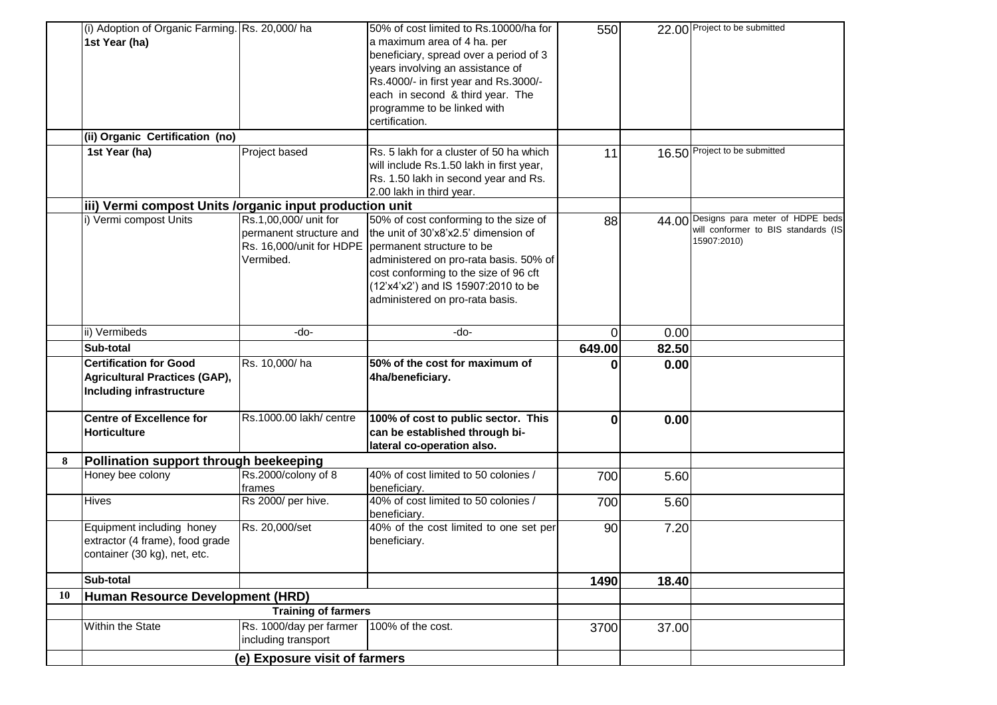|    | (i) Adoption of Organic Farming. Rs. 20,000/ha<br>1st Year (ha)                                   |                                                                                           | 50% of cost limited to Rs.10000/ha for<br>a maximum area of 4 ha. per<br>beneficiary, spread over a period of 3<br>years involving an assistance of<br>Rs.4000/- in first year and Rs.3000/-<br>each in second & third year. The<br>programme to be linked with<br>certification. | 550      |       | 22.00 Project to be submitted                                                               |
|----|---------------------------------------------------------------------------------------------------|-------------------------------------------------------------------------------------------|-----------------------------------------------------------------------------------------------------------------------------------------------------------------------------------------------------------------------------------------------------------------------------------|----------|-------|---------------------------------------------------------------------------------------------|
|    | (ii) Organic Certification (no)                                                                   |                                                                                           |                                                                                                                                                                                                                                                                                   |          |       |                                                                                             |
|    | 1st Year (ha)                                                                                     | Project based                                                                             | Rs. 5 lakh for a cluster of 50 ha which<br>will include Rs.1.50 lakh in first year,<br>Rs. 1.50 lakh in second year and Rs.<br>2.00 lakh in third year.                                                                                                                           | 11       |       | 16.50 Project to be submitted                                                               |
|    | iii) Vermi compost Units /organic input production unit                                           |                                                                                           |                                                                                                                                                                                                                                                                                   |          |       |                                                                                             |
|    | i) Vermi compost Units                                                                            | Rs.1,00,000/ unit for<br>permanent structure and<br>Rs. 16,000/unit for HDPE<br>Vermibed. | 50% of cost conforming to the size of<br>the unit of 30'x8'x2.5' dimension of<br>permanent structure to be<br>administered on pro-rata basis. 50% of<br>cost conforming to the size of 96 cft<br>(12'x4'x2') and IS 15907:2010 to be<br>administered on pro-rata basis.           | 88       |       | 44.00 Designs para meter of HDPE beds<br>will conformer to BIS standards (IS<br>15907:2010) |
|    | ii) Vermibeds                                                                                     | -do-                                                                                      | -do-                                                                                                                                                                                                                                                                              | $\Omega$ | 0.00  |                                                                                             |
|    | Sub-total                                                                                         |                                                                                           |                                                                                                                                                                                                                                                                                   | 649.00   | 82.50 |                                                                                             |
|    | <b>Certification for Good</b><br><b>Agricultural Practices (GAP),</b><br>Including infrastructure | Rs. 10,000/ha                                                                             | 50% of the cost for maximum of<br>4ha/beneficiary.                                                                                                                                                                                                                                |          | 0.00  |                                                                                             |
|    | <b>Centre of Excellence for</b><br><b>Horticulture</b>                                            | Rs.1000.00 lakh/ centre                                                                   | 100% of cost to public sector. This<br>can be established through bi-<br>lateral co-operation also.                                                                                                                                                                               | $\bf{0}$ | 0.00  |                                                                                             |
| 8  | Pollination support through beekeeping                                                            |                                                                                           |                                                                                                                                                                                                                                                                                   |          |       |                                                                                             |
|    | Honey bee colony                                                                                  | Rs.2000/colony of 8<br>frames                                                             | 40% of cost limited to 50 colonies /<br>beneficiary.                                                                                                                                                                                                                              | 700      | 5.60  |                                                                                             |
|    | <b>Hives</b>                                                                                      | Rs 2000/ per hive.                                                                        | 40% of cost limited to 50 colonies /<br>beneficiary.                                                                                                                                                                                                                              | 700      | 5.60  |                                                                                             |
|    | Equipment including honey<br>extractor (4 frame), food grade<br>container (30 kg), net, etc.      | Rs. 20,000/set                                                                            | 40% of the cost limited to one set per<br>beneficiary.                                                                                                                                                                                                                            | 90       | 7.20  |                                                                                             |
|    | Sub-total                                                                                         |                                                                                           |                                                                                                                                                                                                                                                                                   | 1490     | 18.40 |                                                                                             |
| 10 | Human Resource Development (HRD)                                                                  |                                                                                           |                                                                                                                                                                                                                                                                                   |          |       |                                                                                             |
|    |                                                                                                   | <b>Training of farmers</b>                                                                |                                                                                                                                                                                                                                                                                   |          |       |                                                                                             |
|    | Within the State                                                                                  | Rs. 1000/day per farmer<br>including transport                                            | 100% of the cost.                                                                                                                                                                                                                                                                 | 3700     | 37.00 |                                                                                             |
|    |                                                                                                   | (e) Exposure visit of farmers                                                             |                                                                                                                                                                                                                                                                                   |          |       |                                                                                             |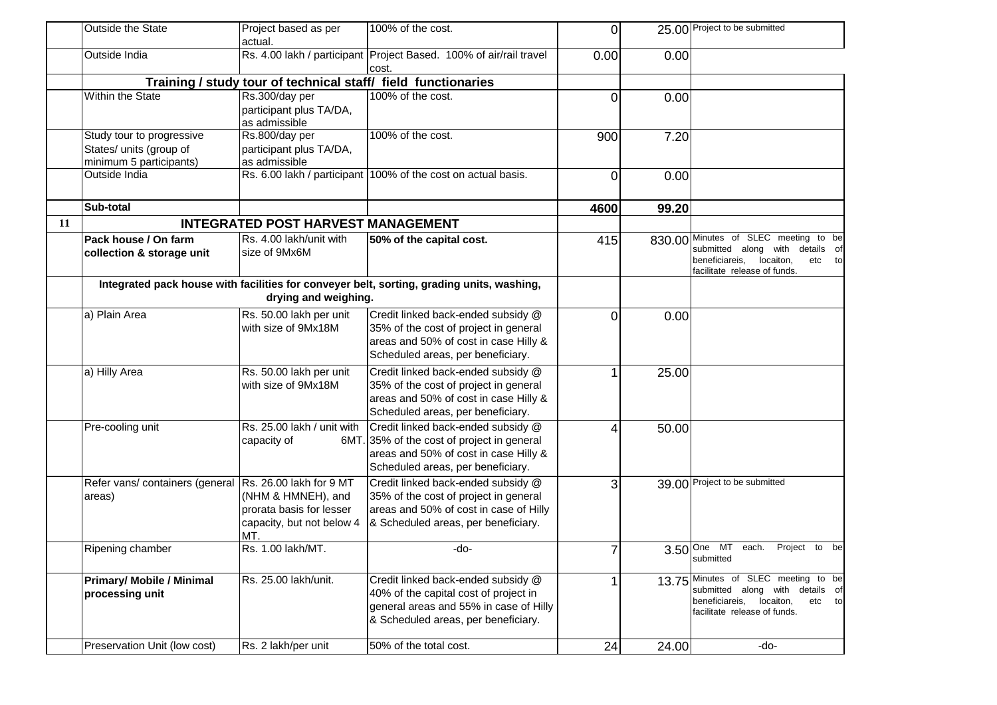|    | Outside the State                                                               | Project based as per<br>actual.                                                                               | 100% of the cost.                                                                                                                                              | 0    |            | 25.00 Project to be submitted                                                                                                                |
|----|---------------------------------------------------------------------------------|---------------------------------------------------------------------------------------------------------------|----------------------------------------------------------------------------------------------------------------------------------------------------------------|------|------------|----------------------------------------------------------------------------------------------------------------------------------------------|
|    | Outside India                                                                   |                                                                                                               | Rs. 4.00 lakh / participant Project Based. 100% of air/rail travel<br>cost.                                                                                    | 0.00 | 0.00       |                                                                                                                                              |
|    |                                                                                 |                                                                                                               | Training / study tour of technical staff/ field functionaries                                                                                                  |      |            |                                                                                                                                              |
|    | Within the State                                                                | Rs.300/day per<br>participant plus TA/DA,<br>as admissible                                                    | 100% of the cost.                                                                                                                                              | 0    | 0.00       |                                                                                                                                              |
|    | Study tour to progressive<br>States/ units (group of<br>minimum 5 participants) | Rs.800/day per<br>participant plus TA/DA,<br>as admissible                                                    | 100% of the cost.                                                                                                                                              | 900  | 7.20       |                                                                                                                                              |
|    | Outside India                                                                   |                                                                                                               | Rs. 6.00 lakh / participant 100% of the cost on actual basis.                                                                                                  | 0    | 0.00       |                                                                                                                                              |
|    | Sub-total                                                                       |                                                                                                               |                                                                                                                                                                | 4600 | 99.20      |                                                                                                                                              |
| 11 |                                                                                 | <b>INTEGRATED POST HARVEST MANAGEMENT</b>                                                                     |                                                                                                                                                                |      |            |                                                                                                                                              |
|    | Pack house / On farm<br>collection & storage unit                               | Rs. 4.00 lakh/unit with<br>size of 9Mx6M                                                                      | 50% of the capital cost.                                                                                                                                       | 415  | 830.00     | Minutes of SLEC meeting to be<br>submitted along with details of<br>beneficiareis, locaiton,<br>etc to<br>facilitate release of funds.       |
|    |                                                                                 | drying and weighing.                                                                                          | Integrated pack house with facilities for conveyer belt, sorting, grading units, washing,                                                                      |      |            |                                                                                                                                              |
|    | a) Plain Area                                                                   | Rs. 50.00 lakh per unit<br>with size of 9Mx18M                                                                | Credit linked back-ended subsidy @<br>35% of the cost of project in general<br>areas and 50% of cost in case Hilly &<br>Scheduled areas, per beneficiary.      | 0    | 0.00       |                                                                                                                                              |
|    | a) Hilly Area                                                                   | Rs. 50.00 lakh per unit<br>with size of 9Mx18M                                                                | Credit linked back-ended subsidy @<br>35% of the cost of project in general<br>areas and 50% of cost in case Hilly &<br>Scheduled areas, per beneficiary.      |      | 25.00      |                                                                                                                                              |
|    | Pre-cooling unit                                                                | Rs. 25.00 lakh / unit with<br>capacity of                                                                     | Credit linked back-ended subsidy @<br>6MT. 35% of the cost of project in general<br>areas and 50% of cost in case Hilly &<br>Scheduled areas, per beneficiary. | 4    | 50.00      |                                                                                                                                              |
|    | Refer vans/ containers (general<br>areas)                                       | Rs. 26.00 lakh for 9 MT<br>(NHM & HMNEH), and<br>prorata basis for lesser<br>capacity, but not below 4<br>MT. | Credit linked back-ended subsidy @<br>35% of the cost of project in general<br>areas and 50% of cost in case of Hilly<br>& Scheduled areas, per beneficiary.   | 3    |            | 39.00 Project to be submitted                                                                                                                |
|    | Ripening chamber                                                                | Rs. 1.00 lakh/MT.                                                                                             | -do-                                                                                                                                                           | 7    | $3.50$ One | MT<br>Project<br>each.<br>to<br>be<br>submitted                                                                                              |
|    | <b>Primary/ Mobile / Minimal</b><br>processing unit                             | Rs. 25.00 lakh/unit.                                                                                          | Credit linked back-ended subsidy @<br>40% of the capital cost of project in<br>general areas and 55% in case of Hilly<br>& Scheduled areas, per beneficiary.   | 1    |            | 13.75 Minutes of SLEC meeting to be<br>submitted along with details of<br>beneficiareis, locaiton,<br>etc to<br>facilitate release of funds. |
|    | Preservation Unit (low cost)                                                    | Rs. 2 lakh/per unit                                                                                           | 50% of the total cost.                                                                                                                                         | 24   | 24.00      | -do-                                                                                                                                         |